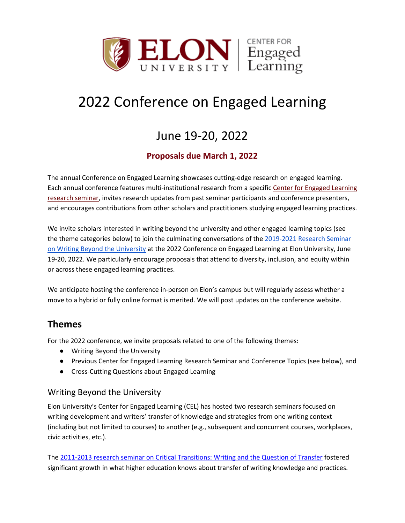

# 2022 Conference on Engaged Learning

## June 19-20, 2022

### **Proposals due March 1, 2022**

The annual Conference on Engaged Learning showcases cutting-edge research on engaged learning. Each annual conference features multi-institutional research from a specific Center for [Engaged Learning](https://www.centerforengagedlearning.org/cel-seminars/)  [research seminar,](https://www.centerforengagedlearning.org/cel-seminars/) invites research updates from past seminar participants and conference presenters, and encourages contributions from other scholars and practitioners studying engaged learning practices.

We invite scholars interested in writing beyond the university and other engaged learning topics (see the theme categories below) to join the culminating conversations of the 2019-2021 Research Seminar [on Writing Beyond the University](https://www.centerforengagedlearning.org/cel-seminars/writing-beyond-the-university-research-seminar/) at the 2022 Conference on Engaged Learning at Elon University, June 19-20, 2022. We particularly encourage proposals that attend to diversity, inclusion, and equity within or across these engaged learning practices.

We anticipate hosting the conference in-person on Elon's campus but will regularly assess whether a move to a hybrid or fully online format is merited. We will post updates on the conference website.

### **Themes**

For the 2022 conference, we invite proposals related to one of the following themes:

- Writing Beyond the University
- Previous Center for Engaged Learning Research Seminar and Conference Topics (see below), and
- Cross-Cutting Questions about Engaged Learning

### Writing Beyond the University

Elon University's Center for Engaged Learning (CEL) has hosted two research seminars focused on writing development and writers' transfer of knowledge and strategies from one writing context (including but not limited to courses) to another (e.g., subsequent and concurrent courses, workplaces, civic activities, etc.).

The [2011-2013 research seminar on Critical Transitions: Writing and the Question of Transfer](https://www.centerforengagedlearning.org/research-seminars/critical-transitions-writing-and-the-question-of-transfer/) fostered significant growth in what higher education knows about transfer of writing knowledge and practices.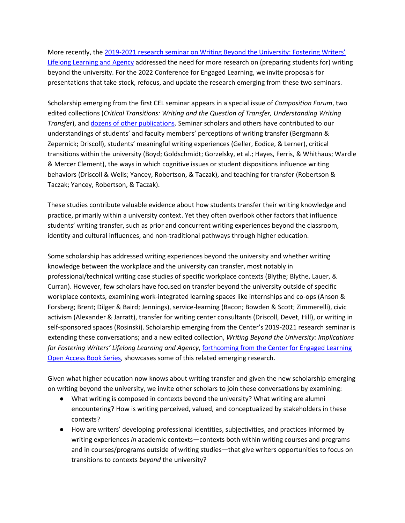More recently, the [2019-2021 research seminar on Writing Beyond the University: Fostering Writers'](https://www.centerforengagedlearning.org/research-seminars/writing-beyond-the-university/)  [Lifelong Learning and Agency](https://www.centerforengagedlearning.org/research-seminars/writing-beyond-the-university/) addressed the need for more research on (preparing students for) writing beyond the university. For the 2022 Conference for Engaged Learning, we invite proposals for presentations that take stock, refocus, and update the research emerging from these two seminars.

Scholarship emerging from the first CEL seminar appears in a special issue of *Composition Forum*, two edited collections (*Critical Transitions: Writing and the Question of Transfer, Understanding Writing Transfer*), and [dozens of other publications.](https://www.centerforengagedlearning.org/research-seminars/critical-transitions-writing-and-the-question-of-transfer/project-showcase/) Seminar scholars and others have contributed to our understandings of students' and faculty members' perceptions of writing transfer (Bergmann & Zepernick; Driscoll), students' meaningful writing experiences (Geller, Eodice, & Lerner), critical transitions within the university (Boyd; Goldschmidt; Gorzelsky, et al.; Hayes, Ferris, & Whithaus; Wardle & Mercer Clement), the ways in which cognitive issues or student dispositions influence writing behaviors (Driscoll & Wells; Yancey, Robertson, & Taczak), and teaching for transfer (Robertson & Taczak; Yancey, Robertson, & Taczak).

These studies contribute valuable evidence about how students transfer their writing knowledge and practice, primarily within a university context. Yet they often overlook other factors that influence students' writing transfer, such as prior and concurrent writing experiences beyond the classroom, identity and cultural influences, and non-traditional pathways through higher education.

Some scholarship has addressed writing experiences beyond the university and whether writing knowledge between the workplace and the university can transfer, most notably in professional/technical writing case studies of specific workplace contexts (Blythe; Blythe, Lauer, & Curran). However, few scholars have focused on transfer beyond the university outside of specific workplace contexts, examining work-integrated learning spaces like internships and co-ops (Anson & Forsberg; Brent; Dilger & Baird; Jennings), service-learning (Bacon; Bowden & Scott; Zimmerelli), civic activism (Alexander & Jarratt), transfer for writing center consultants (Driscoll, Devet, Hill), or writing in self-sponsored spaces (Rosinski). Scholarship emerging from the Center's 2019-2021 research seminar is extending these conversations; and a new edited collection, *Writing Beyond the University: Implications for Fostering Writers' Lifelong Learning and Agency*[, forthcoming from the Center for Engaged Learning](https://www.centerforengagedlearning.org/publications/open-access-book-series/forthcoming-books/) [Open Access Book Series,](https://www.centerforengagedlearning.org/publications/open-access-book-series/forthcoming-books/) showcases some of this related emerging research.

Given what higher education now knows about writing transfer and given the new scholarship emerging on writing beyond the university, we invite other scholars to join these conversations by examining:

- What writing is composed in contexts beyond the university? What writing are alumni encountering? How is writing perceived, valued, and conceptualized by stakeholders in these contexts?
- How are writers' developing professional identities, subjectivities, and practices informed by writing experiences *in* academic contexts—contexts both within writing courses and programs and in courses/programs outside of writing studies—that give writers opportunities to focus on transitions to contexts *beyond* the university?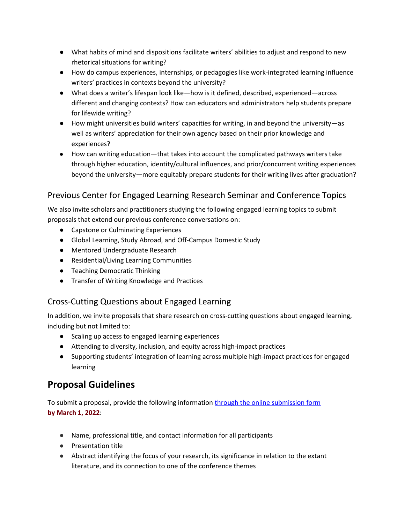- What habits of mind and dispositions facilitate writers' abilities to adjust and respond to new rhetorical situations for writing?
- How do campus experiences, internships, or pedagogies like work-integrated learning influence writers' practices in contexts beyond the university?
- What does a writer's lifespan look like—how is it defined, described, experienced—across different and changing contexts? How can educators and administrators help students prepare for lifewide writing?
- How might universities build writers' capacities for writing, in and beyond the university—as well as writers' appreciation for their own agency based on their prior knowledge and experiences?
- How can writing education—that takes into account the complicated pathways writers take through higher education, identity/cultural influences, and prior/concurrent writing experiences beyond the university—more equitably prepare students for their writing lives after graduation?

### Previous Center for Engaged Learning Research Seminar and Conference Topics

We also invite scholars and practitioners studying the following engaged learning topics to submit proposals that extend our previous conference conversations on:

- Capstone or Culminating Experiences
- Global Learning, Study Abroad, and Off-Campus Domestic Study
- Mentored Undergraduate Research
- Residential/Living Learning Communities
- Teaching Democratic Thinking
- Transfer of Writing Knowledge and Practices

### Cross-Cutting Questions about Engaged Learning

In addition, we invite proposals that share research on cross-cutting questions about engaged learning, including but not limited to:

- Scaling up access to engaged learning experiences
- Attending to diversity, inclusion, and equity across high-impact practices
- Supporting students' integration of learning across multiple high-impact practices for engaged learning

### **Proposal Guidelines**

To submit a proposal, provide the following informatio[n through the online submission form](https://conferences.centerforengagedlearning.org/index.php/cel/2022) **by March 1, 2022**:

- Name, professional title, and contact information for all participants
- Presentation title
- Abstract identifying the focus of your research, its significance in relation to the extant literature, and its connection to one of the conference themes